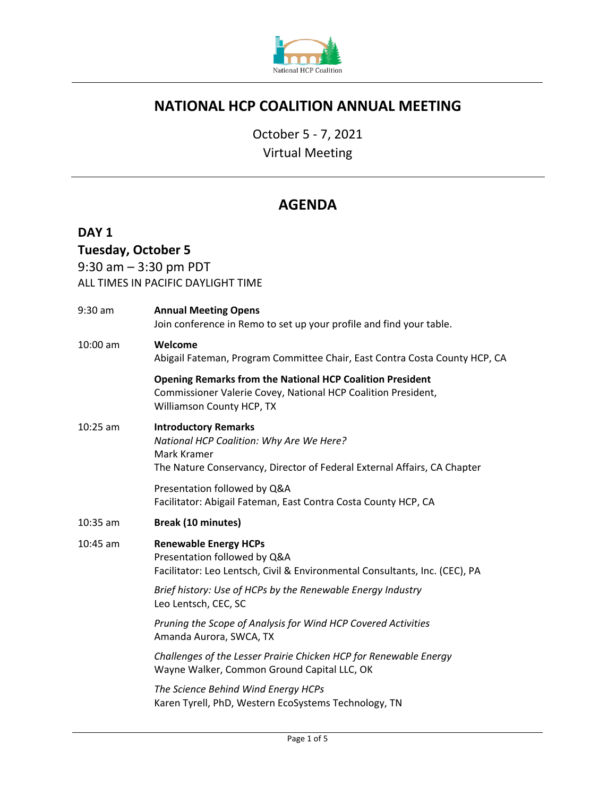

# **NATIONAL HCP COALITION ANNUAL MEETING**

October 5 - 7, 2021

Virtual Meeting

# **AGENDA**

## **DAY 1**

# **Tuesday, October 5**

9:30 am – 3:30 pm PDT

ALL TIMES IN PACIFIC DAYLIGHT TIME

| $9:30$ am  | <b>Annual Meeting Opens</b><br>Join conference in Remo to set up your profile and find your table.                                                                 |
|------------|--------------------------------------------------------------------------------------------------------------------------------------------------------------------|
| $10:00$ am | Welcome<br>Abigail Fateman, Program Committee Chair, East Contra Costa County HCP, CA                                                                              |
|            | <b>Opening Remarks from the National HCP Coalition President</b><br>Commissioner Valerie Covey, National HCP Coalition President,<br>Williamson County HCP, TX     |
| $10:25$ am | <b>Introductory Remarks</b><br>National HCP Coalition: Why Are We Here?<br>Mark Kramer<br>The Nature Conservancy, Director of Federal External Affairs, CA Chapter |
|            | Presentation followed by Q&A<br>Facilitator: Abigail Fateman, East Contra Costa County HCP, CA                                                                     |
| $10:35$ am | Break (10 minutes)                                                                                                                                                 |
| $10:45$ am | <b>Renewable Energy HCPs</b><br>Presentation followed by Q&A<br>Facilitator: Leo Lentsch, Civil & Environmental Consultants, Inc. (CEC), PA                        |
|            | Brief history: Use of HCPs by the Renewable Energy Industry<br>Leo Lentsch, CEC, SC                                                                                |
|            | Pruning the Scope of Analysis for Wind HCP Covered Activities<br>Amanda Aurora, SWCA, TX                                                                           |
|            | Challenges of the Lesser Prairie Chicken HCP for Renewable Energy<br>Wayne Walker, Common Ground Capital LLC, OK                                                   |
|            | The Science Behind Wind Energy HCPs<br>Karen Tyrell, PhD, Western EcoSystems Technology, TN                                                                        |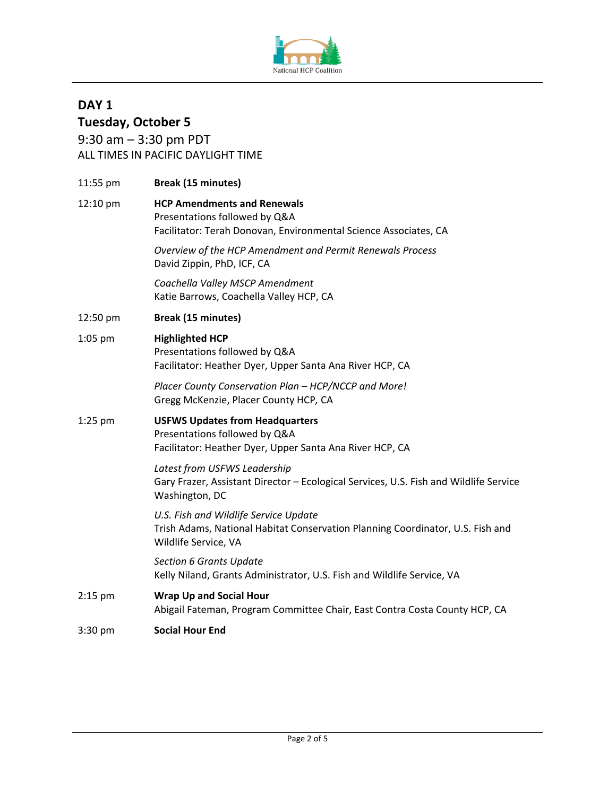

# **DAY 1 Tuesday, October 5**

9:30 am – 3:30 pm PDT ALL TIMES IN PACIFIC DAYLIGHT TIME

| 11:55 pm  | <b>Break (15 minutes)</b>                                                                                                                       |
|-----------|-------------------------------------------------------------------------------------------------------------------------------------------------|
| 12:10 pm  | <b>HCP Amendments and Renewals</b><br>Presentations followed by Q&A<br>Facilitator: Terah Donovan, Environmental Science Associates, CA         |
|           | Overview of the HCP Amendment and Permit Renewals Process<br>David Zippin, PhD, ICF, CA                                                         |
|           | Coachella Valley MSCP Amendment<br>Katie Barrows, Coachella Valley HCP, CA                                                                      |
| 12:50 pm  | <b>Break (15 minutes)</b>                                                                                                                       |
| 1:05 pm   | <b>Highlighted HCP</b><br>Presentations followed by Q&A<br>Facilitator: Heather Dyer, Upper Santa Ana River HCP, CA                             |
|           | Placer County Conservation Plan - HCP/NCCP and More!<br>Gregg McKenzie, Placer County HCP, CA                                                   |
| $1:25$ pm | <b>USFWS Updates from Headquarters</b><br>Presentations followed by Q&A<br>Facilitator: Heather Dyer, Upper Santa Ana River HCP, CA             |
|           | Latest from USFWS Leadership<br>Gary Frazer, Assistant Director - Ecological Services, U.S. Fish and Wildlife Service<br>Washington, DC         |
|           | U.S. Fish and Wildlife Service Update<br>Trish Adams, National Habitat Conservation Planning Coordinator, U.S. Fish and<br>Wildlife Service, VA |
|           | <b>Section 6 Grants Update</b><br>Kelly Niland, Grants Administrator, U.S. Fish and Wildlife Service, VA                                        |
| $2:15$ pm | <b>Wrap Up and Social Hour</b><br>Abigail Fateman, Program Committee Chair, East Contra Costa County HCP, CA                                    |
| 3:30 pm   | <b>Social Hour End</b>                                                                                                                          |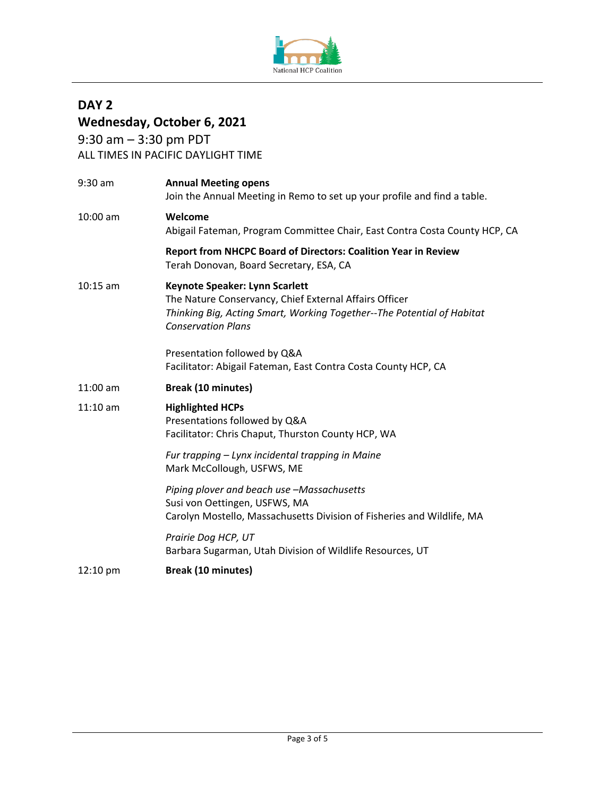

# **DAY 2 Wednesday, October 6, 2021**

9:30 am – 3:30 pm PDT ALL TIMES IN PACIFIC DAYLIGHT TIME

|            | <b>Annual Meeting opens</b><br>Join the Annual Meeting in Remo to set up your profile and find a table.                                                                                         |
|------------|-------------------------------------------------------------------------------------------------------------------------------------------------------------------------------------------------|
| 10:00 am   | Welcome<br>Abigail Fateman, Program Committee Chair, East Contra Costa County HCP, CA                                                                                                           |
|            | Report from NHCPC Board of Directors: Coalition Year in Review<br>Terah Donovan, Board Secretary, ESA, CA                                                                                       |
| $10:15$ am | Keynote Speaker: Lynn Scarlett<br>The Nature Conservancy, Chief External Affairs Officer<br>Thinking Big, Acting Smart, Working Together--The Potential of Habitat<br><b>Conservation Plans</b> |
|            | Presentation followed by Q&A<br>Facilitator: Abigail Fateman, East Contra Costa County HCP, CA                                                                                                  |
| $11:00$ am | <b>Break (10 minutes)</b>                                                                                                                                                                       |
|            |                                                                                                                                                                                                 |
| $11:10$ am | <b>Highlighted HCPs</b><br>Presentations followed by Q&A<br>Facilitator: Chris Chaput, Thurston County HCP, WA                                                                                  |
|            | Fur trapping - Lynx incidental trapping in Maine<br>Mark McCollough, USFWS, ME                                                                                                                  |
|            | Piping plover and beach use -Massachusetts<br>Susi von Oettingen, USFWS, MA<br>Carolyn Mostello, Massachusetts Division of Fisheries and Wildlife, MA                                           |
|            | Prairie Dog HCP, UT<br>Barbara Sugarman, Utah Division of Wildlife Resources, UT                                                                                                                |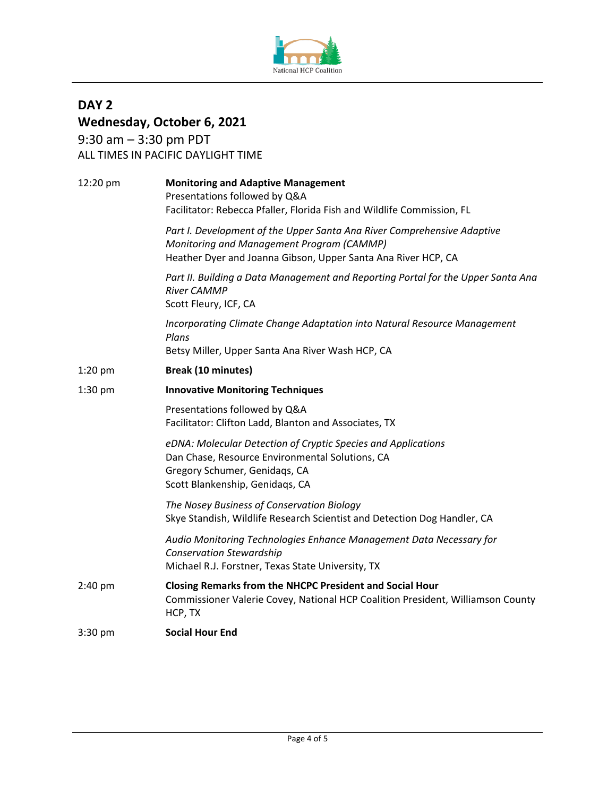

**DAY 2**

## **Wednesday, October 6, 2021** 9:30 am – 3:30 pm PDT ALL TIMES IN PACIFIC DAYLIGHT TIME 12:20 pm **Monitoring and Adaptive Management** Presentations followed by Q&A Facilitator: Rebecca Pfaller, Florida Fish and Wildlife Commission, FL *Part I. Development of the Upper Santa Ana River Comprehensive Adaptive Monitoring and Management Program (CAMMP)* Heather Dyer and Joanna Gibson, Upper Santa Ana River HCP, CA *Part II. Building a Data Management and Reporting Portal for the Upper Santa Ana River CAMMP* Scott Fleury, ICF, CA *Incorporating Climate Change Adaptation into Natural Resource Management Plans* Betsy Miller, Upper Santa Ana River Wash HCP, CA 1:20 pm **Break (10 minutes)** 1:30 pm **Innovative Monitoring Techniques** Presentations followed by Q&A Facilitator: Clifton Ladd, Blanton and Associates, TX *eDNA: Molecular Detection of Cryptic Species and Applications* Dan Chase, Resource Environmental Solutions, CA Gregory Schumer, Genidaqs, CA Scott Blankenship, Genidaqs, CA *The Nosey Business of Conservation Biology* Skye Standish, Wildlife Research Scientist and Detection Dog Handler, CA *Audio Monitoring Technologies Enhance Management Data Necessary for Conservation Stewardship* Michael R.J. Forstner, Texas State University, TX 2:40 pm **Closing Remarks from the NHCPC President and Social Hour** Commissioner Valerie Covey, National HCP Coalition President, Williamson County HCP, TX 3:30 pm **Social Hour End**